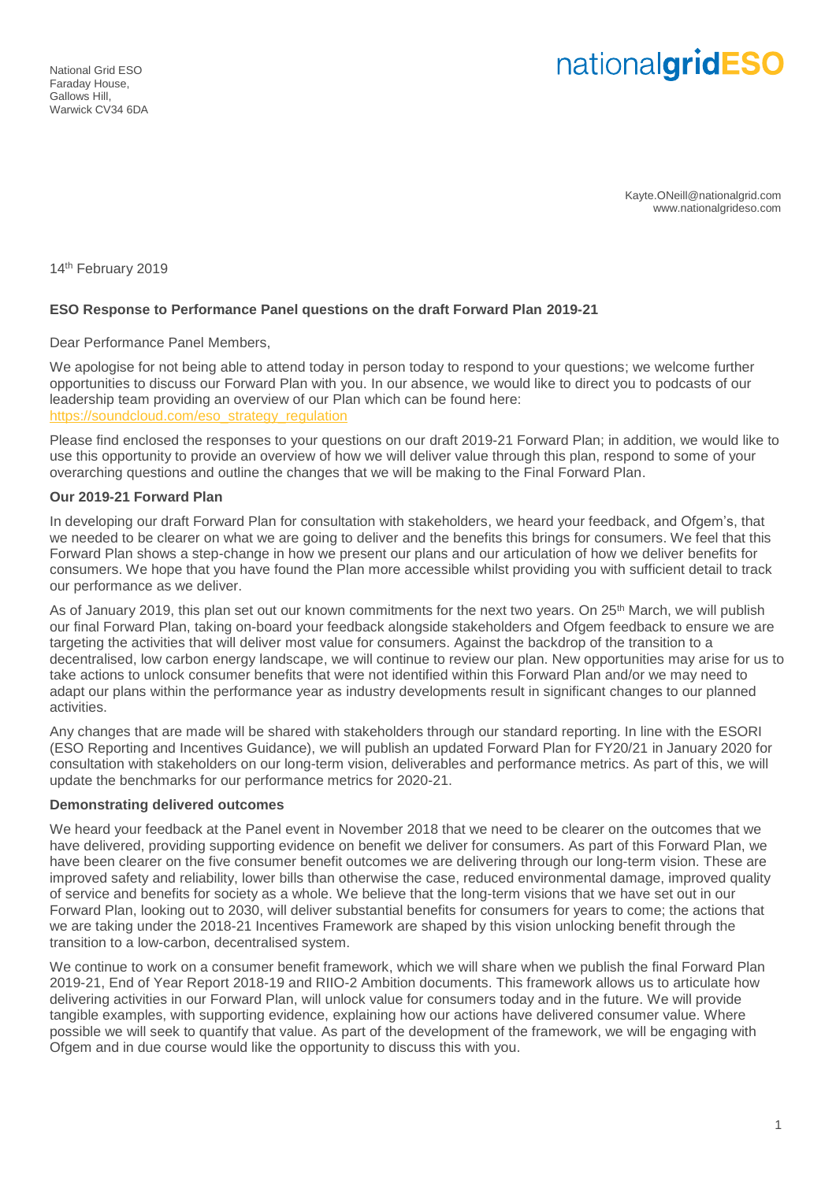# nationalgridESO

Kayte.ONeill@nationalgrid.com www.nationalgrideso.com

14th February 2019

#### **ESO Response to Performance Panel questions on the draft Forward Plan 2019-21**

Dear Performance Panel Members,

We apologise for not being able to attend today in person today to respond to your questions; we welcome further opportunities to discuss our Forward Plan with you. In our absence, we would like to direct you to podcasts of our leadership team providing an overview of our Plan which can be found here: [https://soundcloud.com/eso\\_strategy\\_regulation](https://soundcloud.com/eso_strategy_regulation)

Please find enclosed the responses to your questions on our draft 2019-21 Forward Plan; in addition, we would like to use this opportunity to provide an overview of how we will deliver value through this plan, respond to some of your overarching questions and outline the changes that we will be making to the Final Forward Plan.

#### **Our 2019-21 Forward Plan**

In developing our draft Forward Plan for consultation with stakeholders, we heard your feedback, and Ofgem's, that we needed to be clearer on what we are going to deliver and the benefits this brings for consumers. We feel that this Forward Plan shows a step-change in how we present our plans and our articulation of how we deliver benefits for consumers. We hope that you have found the Plan more accessible whilst providing you with sufficient detail to track our performance as we deliver.

As of January 2019, this plan set out our known commitments for the next two years. On 25<sup>th</sup> March, we will publish our final Forward Plan, taking on-board your feedback alongside stakeholders and Ofgem feedback to ensure we are targeting the activities that will deliver most value for consumers. Against the backdrop of the transition to a decentralised, low carbon energy landscape, we will continue to review our plan. New opportunities may arise for us to take actions to unlock consumer benefits that were not identified within this Forward Plan and/or we may need to adapt our plans within the performance year as industry developments result in significant changes to our planned activities.

Any changes that are made will be shared with stakeholders through our standard reporting. In line with the ESORI (ESO Reporting and Incentives Guidance), we will publish an updated Forward Plan for FY20/21 in January 2020 for consultation with stakeholders on our long-term vision, deliverables and performance metrics. As part of this, we will update the benchmarks for our performance metrics for 2020-21.

#### **Demonstrating delivered outcomes**

We heard your feedback at the Panel event in November 2018 that we need to be clearer on the outcomes that we have delivered, providing supporting evidence on benefit we deliver for consumers. As part of this Forward Plan, we have been clearer on the five consumer benefit outcomes we are delivering through our long-term vision. These are improved safety and reliability, lower bills than otherwise the case, reduced environmental damage, improved quality of service and benefits for society as a whole. We believe that the long-term visions that we have set out in our Forward Plan, looking out to 2030, will deliver substantial benefits for consumers for years to come; the actions that we are taking under the 2018-21 Incentives Framework are shaped by this vision unlocking benefit through the transition to a low-carbon, decentralised system.

We continue to work on a consumer benefit framework, which we will share when we publish the final Forward Plan 2019-21, End of Year Report 2018-19 and RIIO-2 Ambition documents. This framework allows us to articulate how delivering activities in our Forward Plan, will unlock value for consumers today and in the future. We will provide tangible examples, with supporting evidence, explaining how our actions have delivered consumer value. Where possible we will seek to quantify that value. As part of the development of the framework, we will be engaging with Ofgem and in due course would like the opportunity to discuss this with you.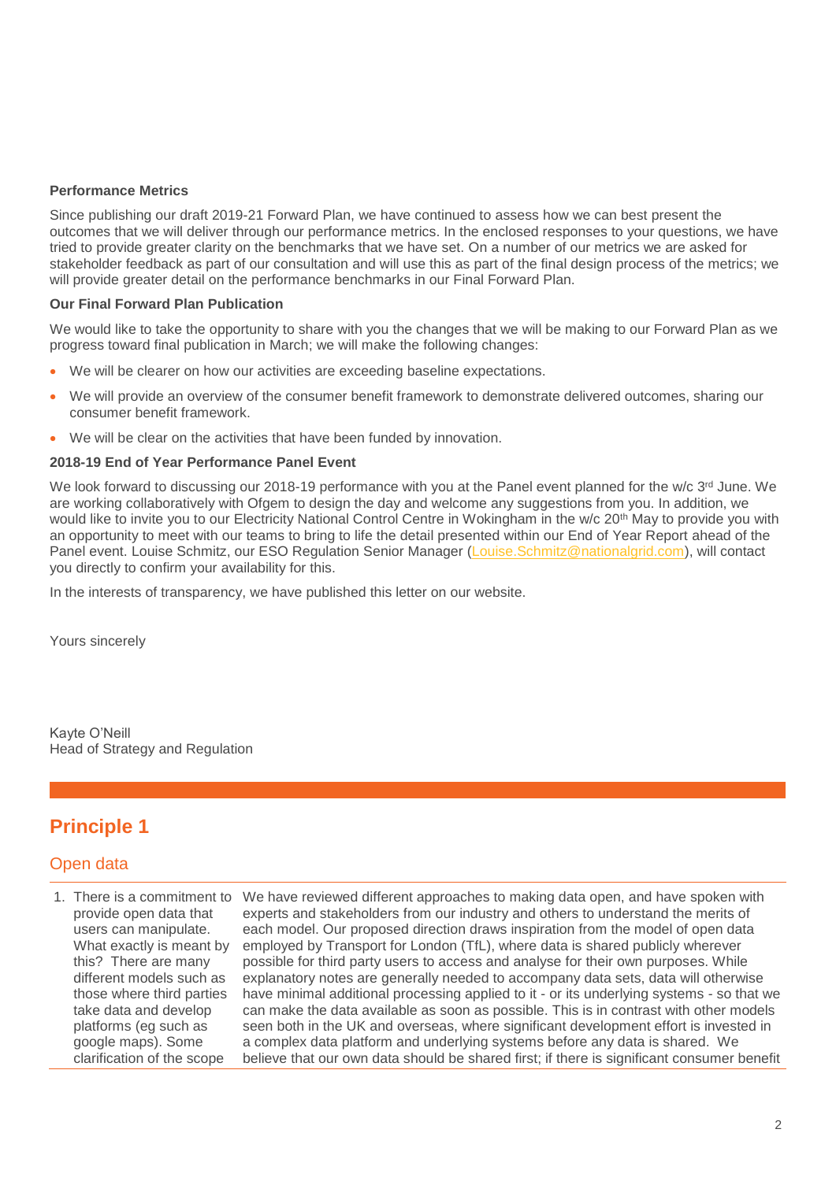#### **Performance Metrics**

Since publishing our draft 2019-21 Forward Plan, we have continued to assess how we can best present the outcomes that we will deliver through our performance metrics. In the enclosed responses to your questions, we have tried to provide greater clarity on the benchmarks that we have set. On a number of our metrics we are asked for stakeholder feedback as part of our consultation and will use this as part of the final design process of the metrics; we will provide greater detail on the performance benchmarks in our Final Forward Plan.

#### **Our Final Forward Plan Publication**

We would like to take the opportunity to share with you the changes that we will be making to our Forward Plan as we progress toward final publication in March; we will make the following changes:

- We will be clearer on how our activities are exceeding baseline expectations.
- We will provide an overview of the consumer benefit framework to demonstrate delivered outcomes, sharing our consumer benefit framework.
- We will be clear on the activities that have been funded by innovation.

#### **2018-19 End of Year Performance Panel Event**

We look forward to discussing our 2018-19 performance with you at the Panel event planned for the w/c 3rd June. We are working collaboratively with Ofgem to design the day and welcome any suggestions from you. In addition, we would like to invite you to our Electricity National Control Centre in Wokingham in the w/c 20<sup>th</sup> May to provide you with an opportunity to meet with our teams to bring to life the detail presented within our End of Year Report ahead of the Panel event. Louise Schmitz, our ESO Regulation Senior Manager [\(Louise.Schmitz@nationalgrid.com\)](mailto:Louise.Schmitz@nationalgrid.com), will contact you directly to confirm your availability for this.

In the interests of transparency, we have published this letter on our website.

Yours sincerely

Kayte O'Neill Head of Strategy and Regulation

## **Principle 1**

### Open data

provide open data that users can manipulate. What exactly is meant by this? There are many different models such as those where third parties take data and develop platforms (eg such as google maps). Some clarification of the scope

1. There is a commitment to We have reviewed different approaches to making data open, and have spoken with experts and stakeholders from our industry and others to understand the merits of each model. Our proposed direction draws inspiration from the model of open data employed by Transport for London (TfL), where data is shared publicly wherever possible for third party users to access and analyse for their own purposes. While explanatory notes are generally needed to accompany data sets, data will otherwise have minimal additional processing applied to it - or its underlying systems - so that we can make the data available as soon as possible. This is in contrast with other models seen both in the UK and overseas, where significant development effort is invested in a complex data platform and underlying systems before any data is shared. We believe that our own data should be shared first; if there is significant consumer benefit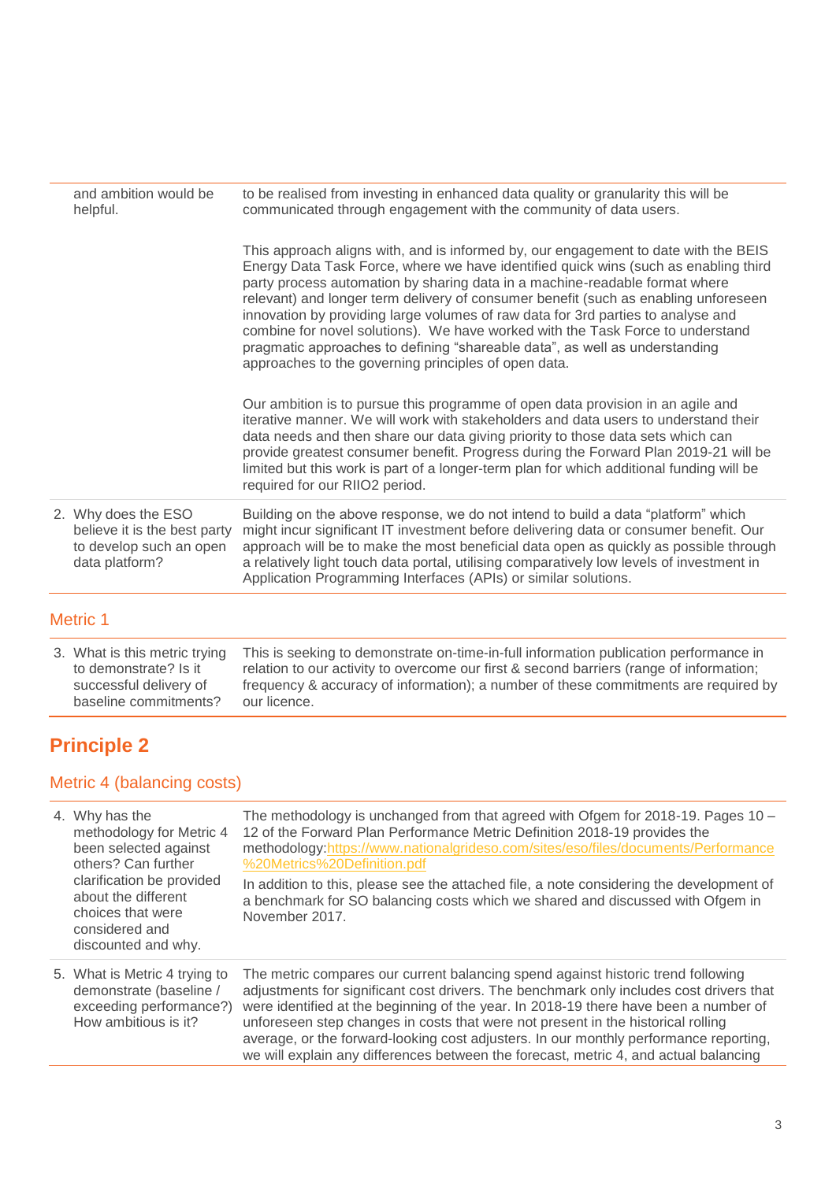| and ambition would be<br>helpful.                                                                | to be realised from investing in enhanced data quality or granularity this will be<br>communicated through engagement with the community of data users.                                                                                                                                                                                                                                                                                                                                                                                                                                                                                                       |
|--------------------------------------------------------------------------------------------------|---------------------------------------------------------------------------------------------------------------------------------------------------------------------------------------------------------------------------------------------------------------------------------------------------------------------------------------------------------------------------------------------------------------------------------------------------------------------------------------------------------------------------------------------------------------------------------------------------------------------------------------------------------------|
|                                                                                                  | This approach aligns with, and is informed by, our engagement to date with the BEIS<br>Energy Data Task Force, where we have identified quick wins (such as enabling third<br>party process automation by sharing data in a machine-readable format where<br>relevant) and longer term delivery of consumer benefit (such as enabling unforeseen<br>innovation by providing large volumes of raw data for 3rd parties to analyse and<br>combine for novel solutions). We have worked with the Task Force to understand<br>pragmatic approaches to defining "shareable data", as well as understanding<br>approaches to the governing principles of open data. |
|                                                                                                  | Our ambition is to pursue this programme of open data provision in an agile and<br>iterative manner. We will work with stakeholders and data users to understand their<br>data needs and then share our data giving priority to those data sets which can<br>provide greatest consumer benefit. Progress during the Forward Plan 2019-21 will be<br>limited but this work is part of a longer-term plan for which additional funding will be<br>required for our RIIO2 period.                                                                                                                                                                                |
| 2. Why does the ESO<br>believe it is the best party<br>to develop such an open<br>data platform? | Building on the above response, we do not intend to build a data "platform" which<br>might incur significant IT investment before delivering data or consumer benefit. Our<br>approach will be to make the most beneficial data open as quickly as possible through<br>a relatively light touch data portal, utilising comparatively low levels of investment in<br>Application Programming Interfaces (APIs) or similar solutions.                                                                                                                                                                                                                           |
|                                                                                                  |                                                                                                                                                                                                                                                                                                                                                                                                                                                                                                                                                                                                                                                               |

# Metric 1

| relation to our activity to overcome our first & second barriers (range of information; |
|-----------------------------------------------------------------------------------------|
| frequency & accuracy of information); a number of these commitments are required by     |
|                                                                                         |
|                                                                                         |

# **Principle 2**

# Metric 4 (balancing costs)

| 4. Why has the<br>methodology for Metric 4<br>been selected against<br>others? Can further<br>clarification be provided<br>about the different<br>choices that were<br>considered and<br>discounted and why. | The methodology is unchanged from that agreed with Ofgem for 2018-19. Pages $10 -$<br>12 of the Forward Plan Performance Metric Definition 2018-19 provides the<br>methodology:https://www.nationalgrideso.com/sites/eso/files/documents/Performance<br>%20Metrics%20Definition.pdf<br>In addition to this, please see the attached file, a note considering the development of<br>a benchmark for SO balancing costs which we shared and discussed with Ofgem in<br>November 2017.                                                      |
|--------------------------------------------------------------------------------------------------------------------------------------------------------------------------------------------------------------|------------------------------------------------------------------------------------------------------------------------------------------------------------------------------------------------------------------------------------------------------------------------------------------------------------------------------------------------------------------------------------------------------------------------------------------------------------------------------------------------------------------------------------------|
| 5. What is Metric 4 trying to<br>demonstrate (baseline /<br>exceeding performance?)<br>How ambitious is it?                                                                                                  | The metric compares our current balancing spend against historic trend following<br>adjustments for significant cost drivers. The benchmark only includes cost drivers that<br>were identified at the beginning of the year. In 2018-19 there have been a number of<br>unforeseen step changes in costs that were not present in the historical rolling<br>average, or the forward-looking cost adjusters. In our monthly performance reporting,<br>we will explain any differences between the forecast, metric 4, and actual balancing |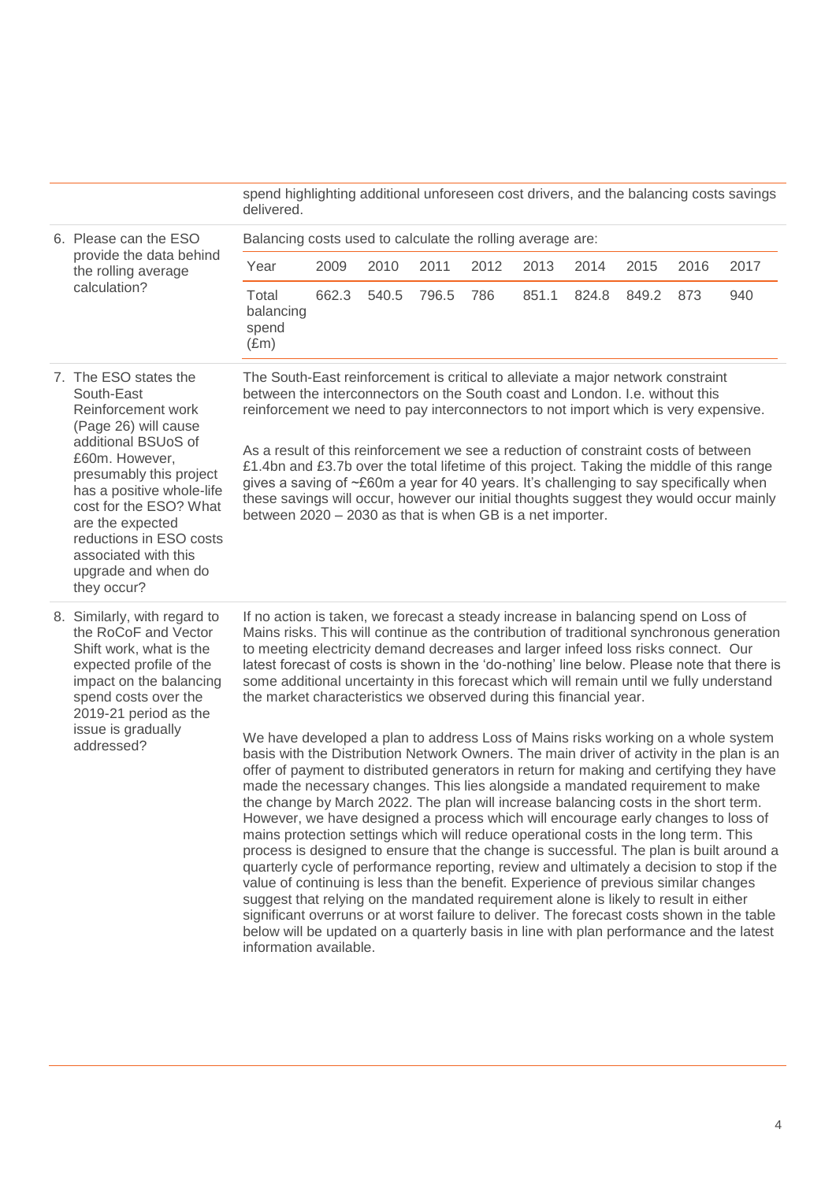|  |                                                                                                                                                                                                                                                                                                                           | spend highlighting additional unforeseen cost drivers, and the balancing costs savings<br>delivered.                                                                                                                                                                                                                                                                                                                                                                                                                                                                                                                                                                                                                                                                                                                                                                                                                                                                                                                                                                                                                                                                                                                                                                                                                                                                                                                                                                                                                                                                                                                                                                                                                                                                 |       |       |       |      |       |       |       |      |      |
|--|---------------------------------------------------------------------------------------------------------------------------------------------------------------------------------------------------------------------------------------------------------------------------------------------------------------------------|----------------------------------------------------------------------------------------------------------------------------------------------------------------------------------------------------------------------------------------------------------------------------------------------------------------------------------------------------------------------------------------------------------------------------------------------------------------------------------------------------------------------------------------------------------------------------------------------------------------------------------------------------------------------------------------------------------------------------------------------------------------------------------------------------------------------------------------------------------------------------------------------------------------------------------------------------------------------------------------------------------------------------------------------------------------------------------------------------------------------------------------------------------------------------------------------------------------------------------------------------------------------------------------------------------------------------------------------------------------------------------------------------------------------------------------------------------------------------------------------------------------------------------------------------------------------------------------------------------------------------------------------------------------------------------------------------------------------------------------------------------------------|-------|-------|-------|------|-------|-------|-------|------|------|
|  | 6. Please can the ESO                                                                                                                                                                                                                                                                                                     | Balancing costs used to calculate the rolling average are:                                                                                                                                                                                                                                                                                                                                                                                                                                                                                                                                                                                                                                                                                                                                                                                                                                                                                                                                                                                                                                                                                                                                                                                                                                                                                                                                                                                                                                                                                                                                                                                                                                                                                                           |       |       |       |      |       |       |       |      |      |
|  | provide the data behind<br>the rolling average                                                                                                                                                                                                                                                                            | Year                                                                                                                                                                                                                                                                                                                                                                                                                                                                                                                                                                                                                                                                                                                                                                                                                                                                                                                                                                                                                                                                                                                                                                                                                                                                                                                                                                                                                                                                                                                                                                                                                                                                                                                                                                 | 2009  | 2010  | 2011  | 2012 | 2013  | 2014  | 2015  | 2016 | 2017 |
|  | calculation?                                                                                                                                                                                                                                                                                                              | Total<br>balancing<br>spend<br>$(\text{Em})$                                                                                                                                                                                                                                                                                                                                                                                                                                                                                                                                                                                                                                                                                                                                                                                                                                                                                                                                                                                                                                                                                                                                                                                                                                                                                                                                                                                                                                                                                                                                                                                                                                                                                                                         | 662.3 | 540.5 | 796.5 | 786  | 851.1 | 824.8 | 849.2 | 873  | 940  |
|  | 7. The ESO states the<br>South-East<br>Reinforcement work<br>(Page 26) will cause<br>additional BSUoS of<br>£60m. However,<br>presumably this project<br>has a positive whole-life<br>cost for the ESO? What<br>are the expected<br>reductions in ESO costs<br>associated with this<br>upgrade and when do<br>they occur? | The South-East reinforcement is critical to alleviate a major network constraint<br>between the interconnectors on the South coast and London. I.e. without this<br>reinforcement we need to pay interconnectors to not import which is very expensive.<br>As a result of this reinforcement we see a reduction of constraint costs of between<br>£1.4bn and £3.7b over the total lifetime of this project. Taking the middle of this range<br>gives a saving of ~£60m a year for 40 years. It's challenging to say specifically when<br>these savings will occur, however our initial thoughts suggest they would occur mainly<br>between 2020 - 2030 as that is when GB is a net importer.                                                                                                                                                                                                                                                                                                                                                                                                                                                                                                                                                                                                                                                                                                                                                                                                                                                                                                                                                                                                                                                                         |       |       |       |      |       |       |       |      |      |
|  | 8. Similarly, with regard to<br>the RoCoF and Vector<br>Shift work, what is the<br>expected profile of the<br>impact on the balancing<br>spend costs over the<br>2019-21 period as the<br>issue is gradually<br>addressed?                                                                                                | If no action is taken, we forecast a steady increase in balancing spend on Loss of<br>Mains risks. This will continue as the contribution of traditional synchronous generation<br>to meeting electricity demand decreases and larger infeed loss risks connect. Our<br>latest forecast of costs is shown in the 'do-nothing' line below. Please note that there is<br>some additional uncertainty in this forecast which will remain until we fully understand<br>the market characteristics we observed during this financial year.<br>We have developed a plan to address Loss of Mains risks working on a whole system<br>basis with the Distribution Network Owners. The main driver of activity in the plan is an<br>offer of payment to distributed generators in return for making and certifying they have<br>made the necessary changes. This lies alongside a mandated requirement to make<br>the change by March 2022. The plan will increase balancing costs in the short term.<br>However, we have designed a process which will encourage early changes to loss of<br>mains protection settings which will reduce operational costs in the long term. This<br>process is designed to ensure that the change is successful. The plan is built around a<br>quarterly cycle of performance reporting, review and ultimately a decision to stop if the<br>value of continuing is less than the benefit. Experience of previous similar changes<br>suggest that relying on the mandated requirement alone is likely to result in either<br>significant overruns or at worst failure to deliver. The forecast costs shown in the table<br>below will be updated on a quarterly basis in line with plan performance and the latest<br>information available. |       |       |       |      |       |       |       |      |      |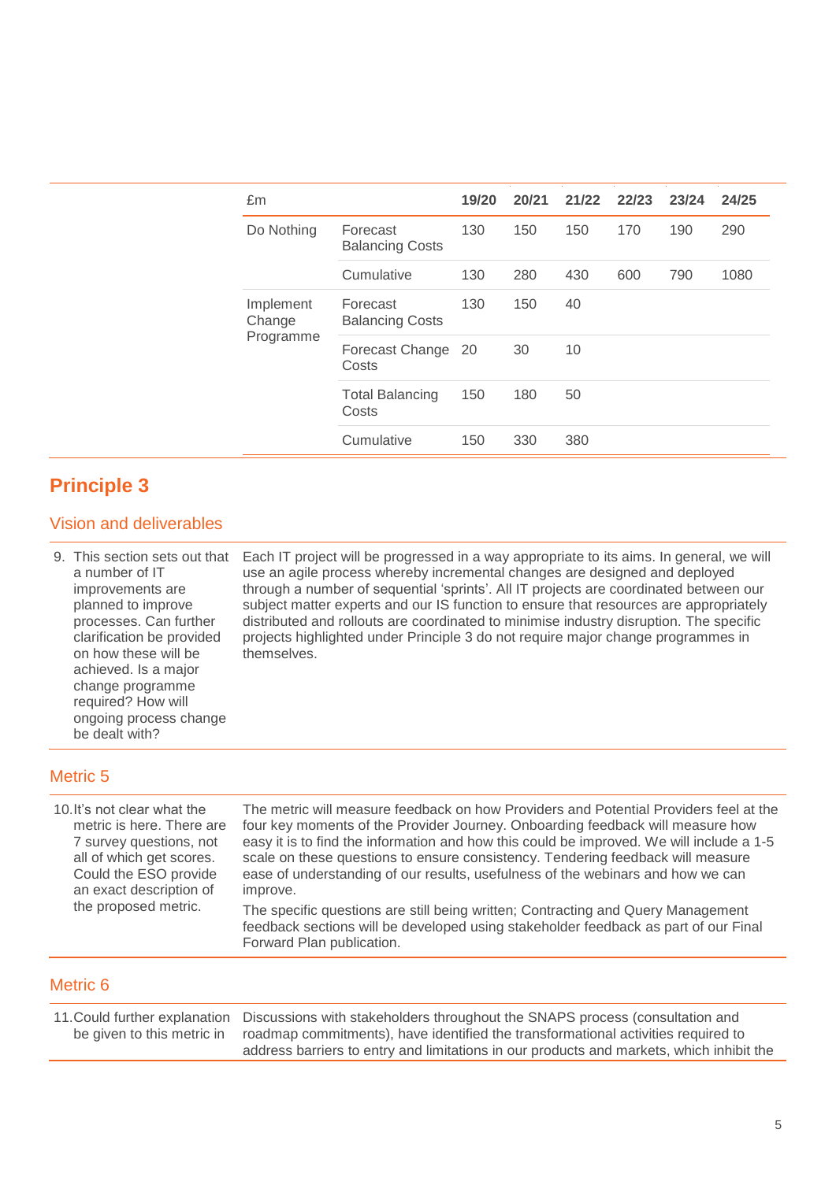| £m                  |                                    | 19/20 | 20/21 | 21/22 | 22/23 | 23/24 | 24/25 |
|---------------------|------------------------------------|-------|-------|-------|-------|-------|-------|
| Do Nothing          | Forecast<br><b>Balancing Costs</b> | 130   | 150   | 150   | 170   | 190   | 290   |
|                     | Cumulative                         | 130   | 280   | 430   | 600   | 790   | 1080  |
| Implement<br>Change | Forecast<br><b>Balancing Costs</b> | 130   | 150   | 40    |       |       |       |
| Programme           | Forecast Change<br>Costs           | -20   | 30    | 10    |       |       |       |
|                     | <b>Total Balancing</b><br>Costs    | 150   | 180   | 50    |       |       |       |
|                     | Cumulative                         | 150   | 330   | 380   |       |       |       |

# **Principle 3**

### Vision and deliverables

9. This section sets out that a number of IT improvements are planned to improve processes. Can further clarification be provided on how these will be achieved. Is a major change programme required? How will ongoing process change be dealt with? Each IT project will be progressed in a way appropriate to its aims. In general, we will use an agile process whereby incremental changes are designed and deployed through a number of sequential 'sprints'. All IT projects are coordinated between our subject matter experts and our IS function to ensure that resources are appropriately distributed and rollouts are coordinated to minimise industry disruption. The specific projects highlighted under Principle 3 do not require major change programmes in themselves.

## Metric 5

| 10. It's not clear what the | The metric will measure feedback on how Providers and Potential Providers feel at the                            |
|-----------------------------|------------------------------------------------------------------------------------------------------------------|
| metric is here. There are   | four key moments of the Provider Journey. Onboarding feedback will measure how                                   |
| 7 survey questions, not     | easy it is to find the information and how this could be improved. We will include a 1-5                         |
| all of which get scores.    | scale on these questions to ensure consistency. Tendering feedback will measure                                  |
| Could the ESO provide       | ease of understanding of our results, usefulness of the webinars and how we can                                  |
| an exact description of     | improve.                                                                                                         |
| the proposed metric.        | The specific questions are still being written; Contracting and Query Management                                 |
|                             | feedback sections will be developed using stakeholder feedback as part of our Final<br>Forward Plan publication. |

## Metric 6

11.Could further explanation be given to this metric in Discussions with stakeholders throughout the SNAPS process (consultation and roadmap commitments), have identified the transformational activities required to address barriers to entry and limitations in our products and markets, which inhibit the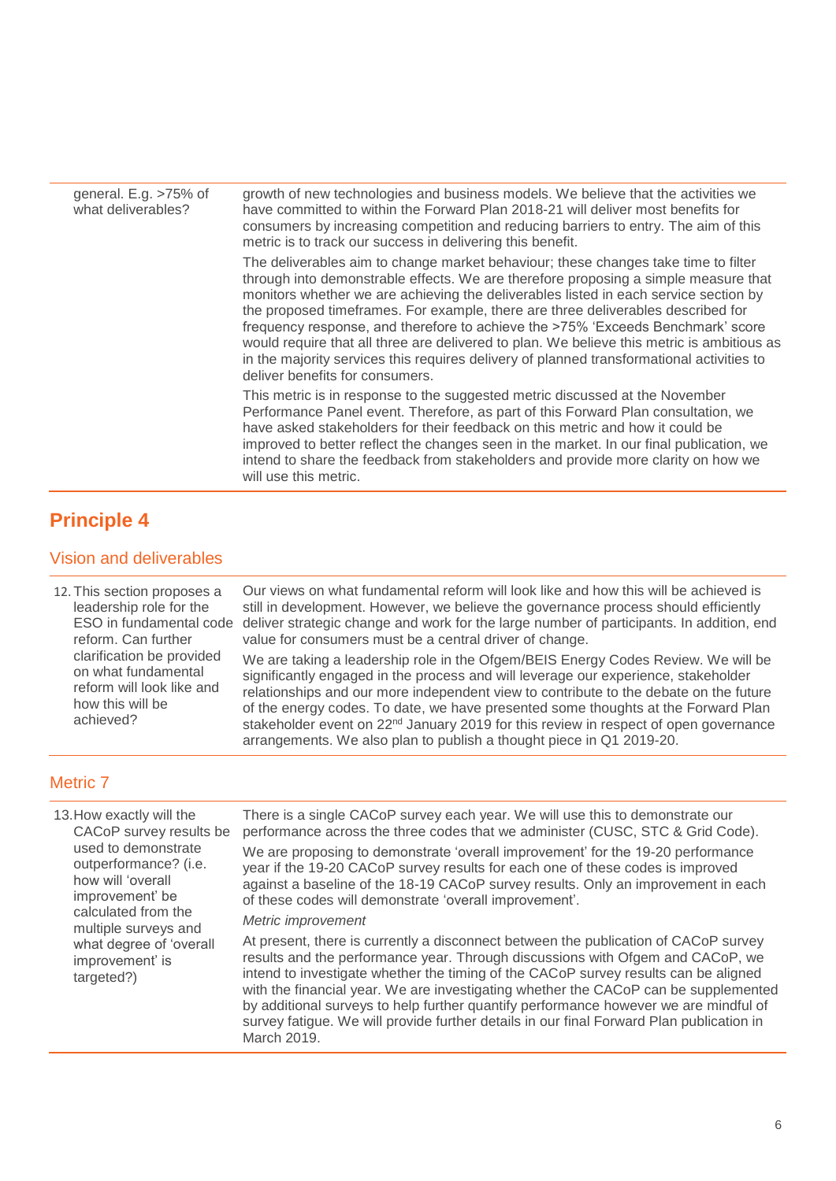| general. $E.g. > 75\%$ of<br>what deliverables? | growth of new technologies and business models. We believe that the activities we<br>have committed to within the Forward Plan 2018-21 will deliver most benefits for<br>consumers by increasing competition and reducing barriers to entry. The aim of this<br>metric is to track our success in delivering this benefit.                                                                                                                                                                                                                                                                                                                                             |
|-------------------------------------------------|------------------------------------------------------------------------------------------------------------------------------------------------------------------------------------------------------------------------------------------------------------------------------------------------------------------------------------------------------------------------------------------------------------------------------------------------------------------------------------------------------------------------------------------------------------------------------------------------------------------------------------------------------------------------|
|                                                 | The deliverables aim to change market behaviour; these changes take time to filter<br>through into demonstrable effects. We are therefore proposing a simple measure that<br>monitors whether we are achieving the deliverables listed in each service section by<br>the proposed timeframes. For example, there are three deliverables described for<br>frequency response, and therefore to achieve the >75% 'Exceeds Benchmark' score<br>would require that all three are delivered to plan. We believe this metric is ambitious as<br>in the majority services this requires delivery of planned transformational activities to<br>deliver benefits for consumers. |
|                                                 | This metric is in response to the suggested metric discussed at the November<br>Performance Panel event. Therefore, as part of this Forward Plan consultation, we<br>have asked stakeholders for their feedback on this metric and how it could be<br>improved to better reflect the changes seen in the market. In our final publication, we<br>intend to share the feedback from stakeholders and provide more clarity on how we<br>will use this metric.                                                                                                                                                                                                            |

# **Principle 4**

## Vision and deliverables

12. This section proposes a leadership role for the ESO in fundamental code reform. Can further clarification be provided on what fundamental reform will look like and how this will be achieved?

Our views on what fundamental reform will look like and how this will be achieved is still in development. However, we believe the governance process should efficiently deliver strategic change and work for the large number of participants. In addition, end value for consumers must be a central driver of change.

We are taking a leadership role in the Ofgem/BEIS Energy Codes Review. We will be significantly engaged in the process and will leverage our experience, stakeholder relationships and our more independent view to contribute to the debate on the future of the energy codes. To date, we have presented some thoughts at the Forward Plan stakeholder event on  $22<sup>nd</sup>$  January 2019 for this review in respect of open governance arrangements. We also plan to publish a thought piece in Q1 2019-20.

## Metric 7

| 13. How exactly will the<br>CACoP survey results be<br>used to demonstrate<br>outperformance? (i.e.<br>how will 'overall<br>improvement' be<br>calculated from the<br>multiple surveys and | There is a single CACoP survey each year. We will use this to demonstrate our<br>performance across the three codes that we administer (CUSC, STC & Grid Code).<br>We are proposing to demonstrate 'overall improvement' for the 19-20 performance<br>year if the 19-20 CACoP survey results for each one of these codes is improved<br>against a baseline of the 18-19 CACoP survey results. Only an improvement in each<br>of these codes will demonstrate 'overall improvement'.<br>Metric improvement                                              |
|--------------------------------------------------------------------------------------------------------------------------------------------------------------------------------------------|--------------------------------------------------------------------------------------------------------------------------------------------------------------------------------------------------------------------------------------------------------------------------------------------------------------------------------------------------------------------------------------------------------------------------------------------------------------------------------------------------------------------------------------------------------|
| what degree of 'overall<br>improvement' is<br>targeted?)                                                                                                                                   | At present, there is currently a disconnect between the publication of CACoP survey<br>results and the performance year. Through discussions with Ofgem and CACoP, we<br>intend to investigate whether the timing of the CACoP survey results can be aligned<br>with the financial year. We are investigating whether the CACoP can be supplemented<br>by additional surveys to help further quantify performance however we are mindful of<br>survey fatigue. We will provide further details in our final Forward Plan publication in<br>March 2019. |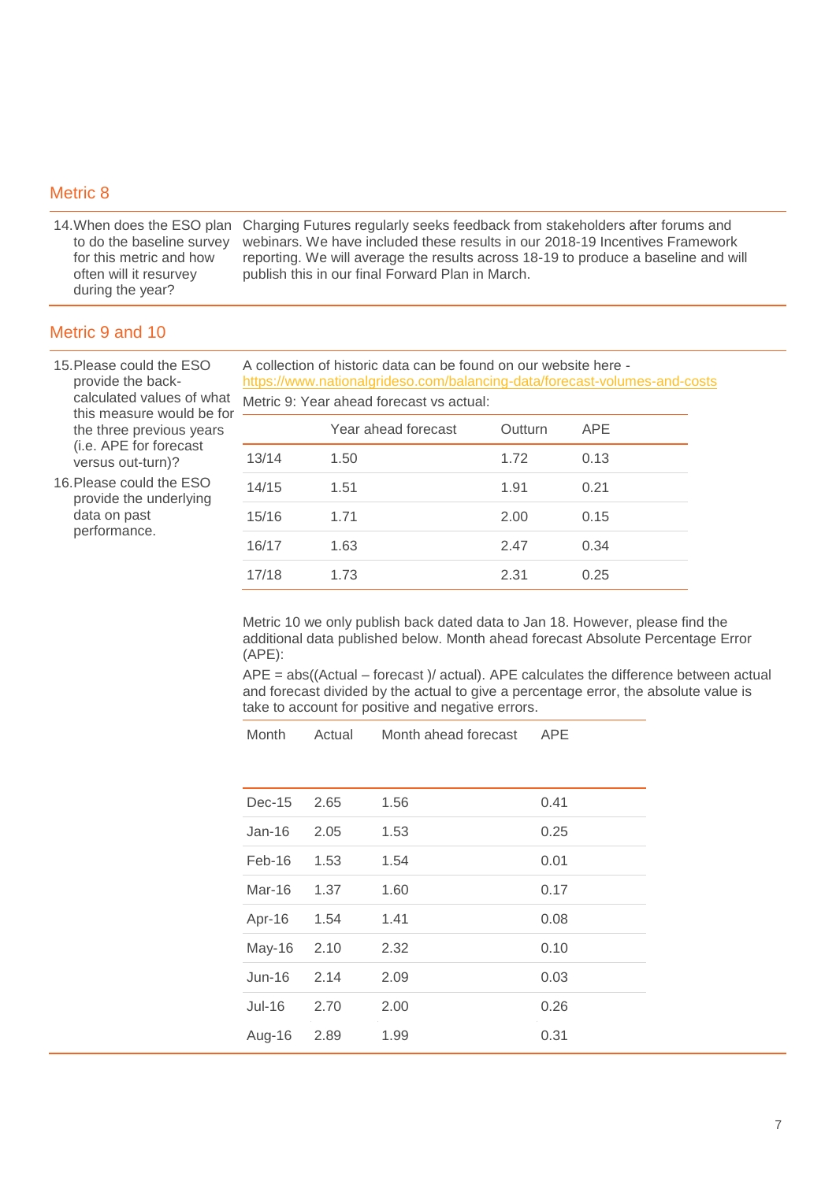#### Metric 8

14.When does the ESO plan Charging Futures regularly seeks feedback from stakeholders after forums and to do the baseline survey for this metric and how often will it resurvey during the year? webinars. We have included these results in our 2018-19 Incentives Framework reporting. We will average the results across 18-19 to produce a baseline and will publish this in our final Forward Plan in March.

### Metric 9 and 10

15.Please could the ESO provide the backcalculated values of what this measure would be for the three previous years (i.e. APE for forecast versus out-turn)?

16.Please could the ESO provide the underlying data on past performance.

A collection of historic data can be found on our website here <https://www.nationalgrideso.com/balancing-data/forecast-volumes-and-costs> Metric 9: Year ahead forecast vs actual:

|       | Year ahead forecast | Outturn | <b>APE</b> |
|-------|---------------------|---------|------------|
| 13/14 | 1.50                | 1.72    | 0.13       |
| 14/15 | 1.51                | 1.91    | 0.21       |
| 15/16 | 1.71                | 2.00    | 0.15       |
| 16/17 | 1.63                | 2.47    | 0.34       |
| 17/18 | 1.73                | 2.31    | 0.25       |

Metric 10 we only publish back dated data to Jan 18. However, please find the additional data published below. Month ahead forecast Absolute Percentage Error (APE):

 $APE = abs((Actual - forecast)/actual)$ . APE calculates the difference between actual and forecast divided by the actual to give a percentage error, the absolute value is take to account for positive and negative errors.

| $Dec-15$      | 2.65 | 1.56 | 0.41 |
|---------------|------|------|------|
| $Jan-16$      | 2.05 | 1.53 | 0.25 |
| $Feb-16$      | 1.53 | 1.54 | 0.01 |
| Mar-16        | 1.37 | 1.60 | 0.17 |
| Apr-16        | 1.54 | 1.41 | 0.08 |
| May-16        | 2.10 | 2.32 | 0.10 |
| $Jun-16$      | 2.14 | 2.09 | 0.03 |
| <b>Jul-16</b> | 2.70 | 2.00 | 0.26 |
| Aug-16        | 2.89 | 1.99 | 0.31 |

Month Actual Month ahead forecast APE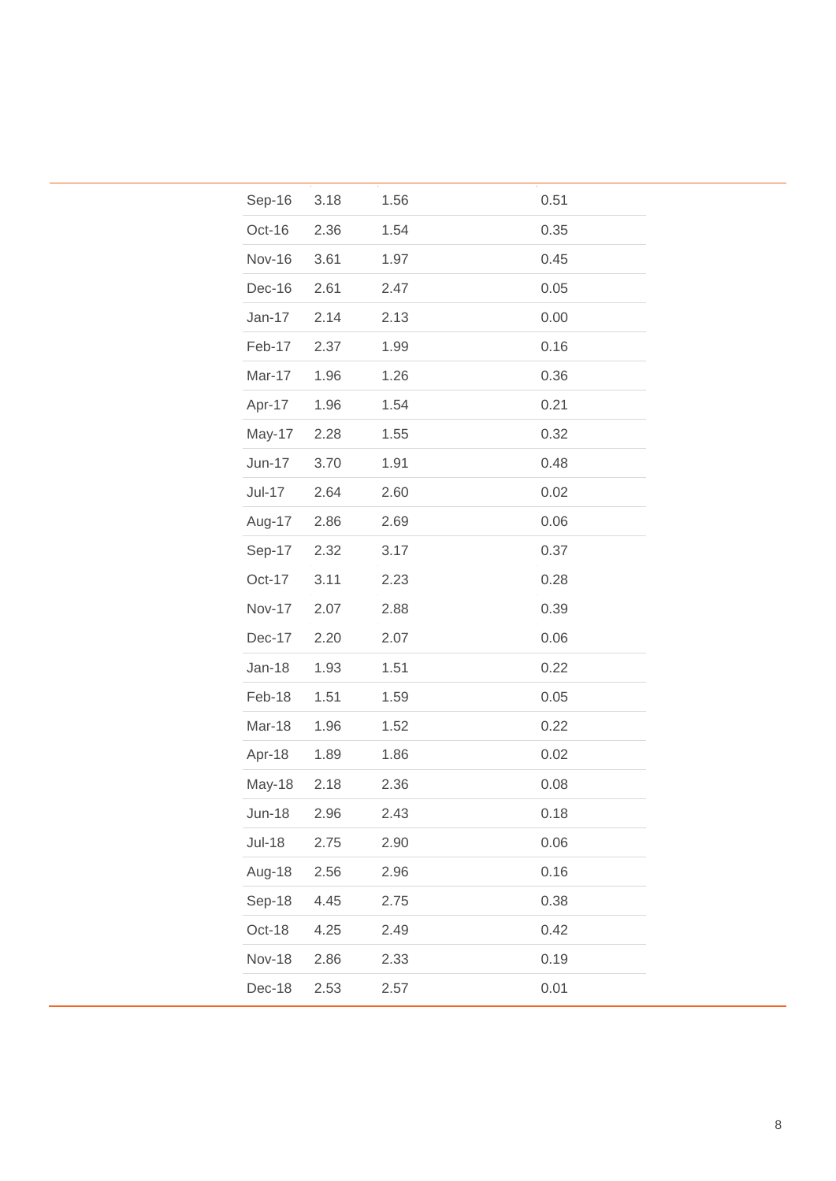| Sep-16        | 3.18 | 1.56 | 0.51 |
|---------------|------|------|------|
| Oct-16        | 2.36 | 1.54 | 0.35 |
| <b>Nov-16</b> | 3.61 | 1.97 | 0.45 |
| Dec-16        | 2.61 | 2.47 | 0.05 |
| Jan-17        | 2.14 | 2.13 | 0.00 |
| Feb-17        | 2.37 | 1.99 | 0.16 |
| Mar-17        | 1.96 | 1.26 | 0.36 |
| Apr-17        | 1.96 | 1.54 | 0.21 |
| May-17        | 2.28 | 1.55 | 0.32 |
| Jun-17        | 3.70 | 1.91 | 0.48 |
| Jul-17        | 2.64 | 2.60 | 0.02 |
| Aug-17        | 2.86 | 2.69 | 0.06 |
| Sep-17        | 2.32 | 3.17 | 0.37 |
| Oct-17        | 3.11 | 2.23 | 0.28 |
| <b>Nov-17</b> | 2.07 | 2.88 | 0.39 |
| Dec-17        | 2.20 | 2.07 | 0.06 |
| Jan-18        | 1.93 | 1.51 | 0.22 |
| Feb-18        | 1.51 | 1.59 | 0.05 |
| Mar-18        | 1.96 | 1.52 | 0.22 |
| Apr-18        | 1.89 | 1.86 | 0.02 |
| May-18        | 2.18 | 2.36 | 0.08 |
| <b>Jun-18</b> | 2.96 | 2.43 | 0.18 |
| <b>Jul-18</b> | 2.75 | 2.90 | 0.06 |
| Aug-18        | 2.56 | 2.96 | 0.16 |
| Sep-18        | 4.45 | 2.75 | 0.38 |
| Oct-18        | 4.25 | 2.49 | 0.42 |
| <b>Nov-18</b> | 2.86 | 2.33 | 0.19 |
| Dec-18        | 2.53 | 2.57 | 0.01 |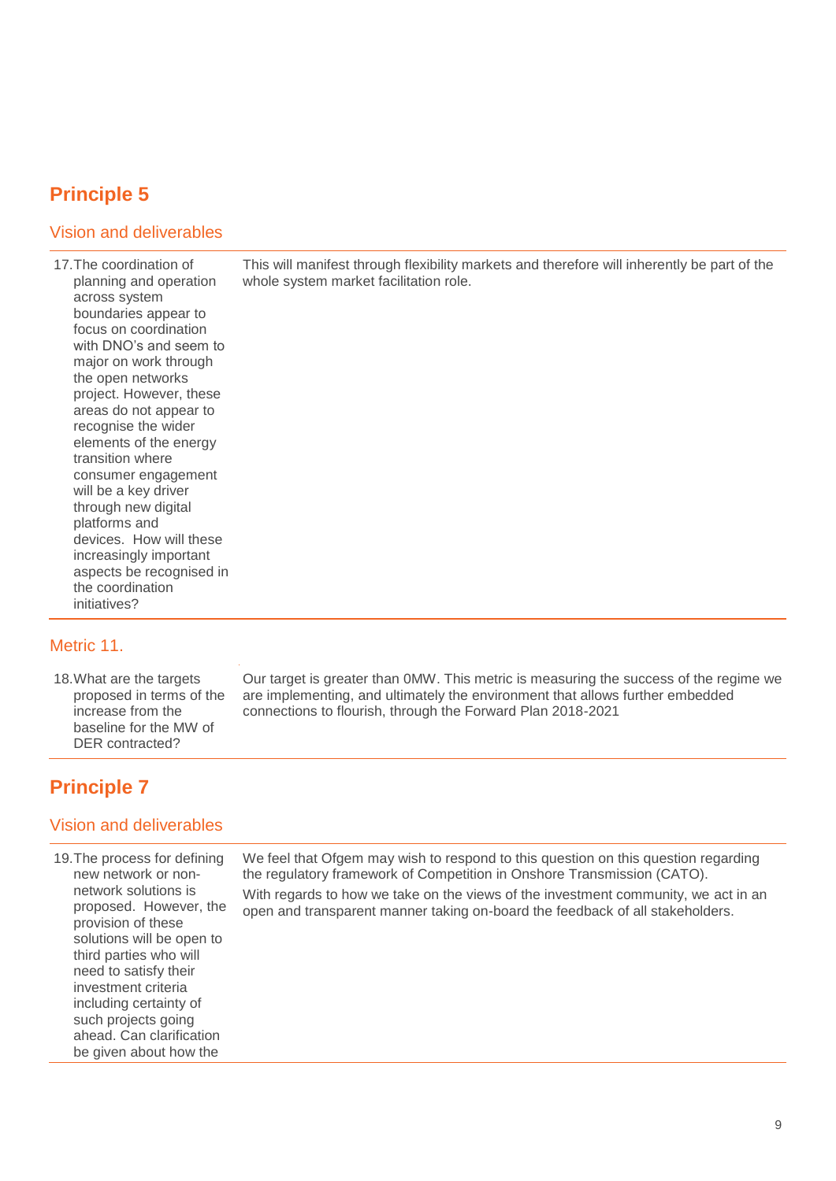# **Principle 5**

## Vision and deliverables

17.The coordination of planning and operation across system boundaries appear to focus on coordination with DNO's and seem to major on work through the open networks project. However, these areas do not appear to recognise the wider elements of the energy transition where consumer engagement will be a key driver through new digital platforms and devices. How will these increasingly important aspects be recognised in the coordination initiatives?

### Metric 11.

18.What are the targets proposed in terms of the increase from the baseline for the MW of DER contracted?

Our target is greater than 0MW. This metric is measuring the success of the regime we are implementing, and ultimately the environment that allows further embedded connections to flourish, through the Forward Plan 2018-2021

This will manifest through flexibility markets and therefore will inherently be part of the

whole system market facilitation role.

## **Principle 7**

### Vision and deliverables

19.The process for defining new network or nonnetwork solutions is proposed. However, the provision of these solutions will be open to third parties who will need to satisfy their investment criteria including certainty of such projects going ahead. Can clarification be given about how the

We feel that Ofgem may wish to respond to this question on this question regarding the regulatory framework of Competition in Onshore Transmission (CATO). With regards to how we take on the views of the investment community, we act in an open and transparent manner taking on-board the feedback of all stakeholders.